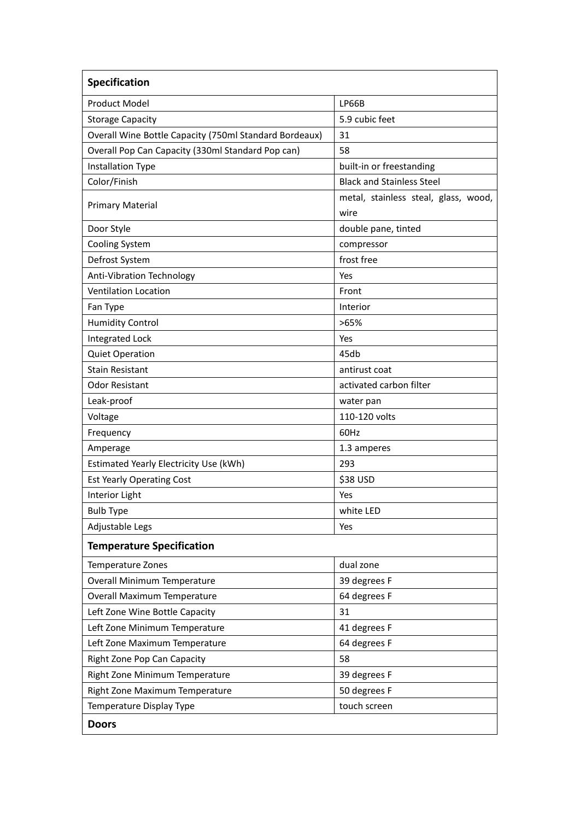| <b>Specification</b>                                   |                                              |
|--------------------------------------------------------|----------------------------------------------|
| <b>Product Model</b>                                   | LP66B                                        |
| <b>Storage Capacity</b>                                | 5.9 cubic feet                               |
| Overall Wine Bottle Capacity (750ml Standard Bordeaux) | 31                                           |
| Overall Pop Can Capacity (330ml Standard Pop can)      | 58                                           |
| <b>Installation Type</b>                               | built-in or freestanding                     |
| Color/Finish                                           | <b>Black and Stainless Steel</b>             |
| <b>Primary Material</b>                                | metal, stainless steal, glass, wood,<br>wire |
| Door Style                                             | double pane, tinted                          |
| <b>Cooling System</b>                                  | compressor                                   |
| Defrost System                                         | frost free                                   |
| Anti-Vibration Technology                              | Yes                                          |
| <b>Ventilation Location</b>                            | Front                                        |
| Fan Type                                               | Interior                                     |
| <b>Humidity Control</b>                                | >65%                                         |
| <b>Integrated Lock</b>                                 | Yes                                          |
| <b>Quiet Operation</b>                                 | 45db                                         |
| <b>Stain Resistant</b>                                 | antirust coat                                |
| <b>Odor Resistant</b>                                  | activated carbon filter                      |
| Leak-proof                                             | water pan                                    |
| Voltage                                                | 110-120 volts                                |
| Frequency                                              | 60Hz                                         |
| Amperage                                               | 1.3 amperes                                  |
| Estimated Yearly Electricity Use (kWh)                 | 293                                          |
| <b>Est Yearly Operating Cost</b>                       | \$38 USD                                     |
| Interior Light                                         | Yes                                          |
| <b>Bulb Type</b>                                       | white LED                                    |
| Adjustable Legs                                        | Yes                                          |
| <b>Temperature Specification</b>                       |                                              |
| Temperature Zones                                      | dual zone                                    |
| <b>Overall Minimum Temperature</b>                     | 39 degrees F                                 |
| Overall Maximum Temperature                            | 64 degrees F                                 |
| Left Zone Wine Bottle Capacity                         | 31                                           |
| Left Zone Minimum Temperature                          | 41 degrees F                                 |
| Left Zone Maximum Temperature                          | 64 degrees F                                 |
| Right Zone Pop Can Capacity                            | 58                                           |
| Right Zone Minimum Temperature                         | 39 degrees F                                 |
| Right Zone Maximum Temperature                         | 50 degrees F                                 |
| Temperature Display Type                               | touch screen                                 |
| <b>Doors</b>                                           |                                              |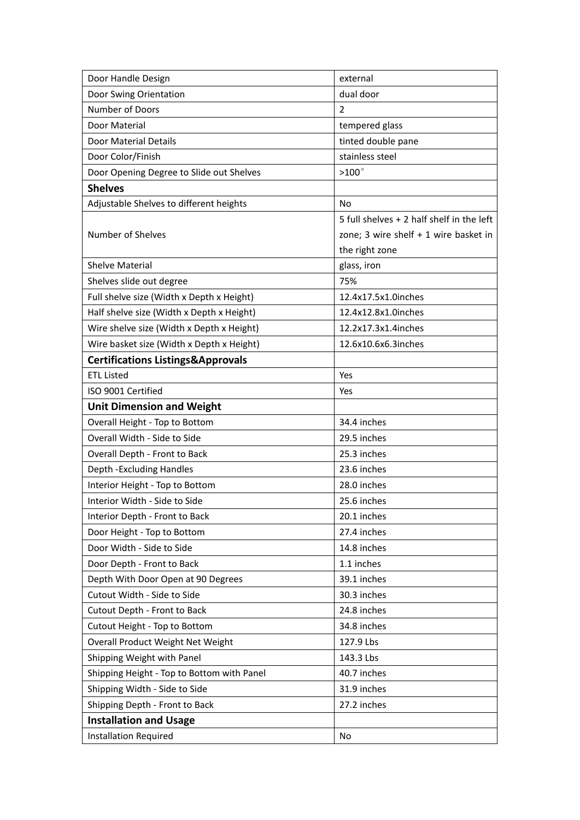| Door Handle Design                           | external                                  |
|----------------------------------------------|-------------------------------------------|
| Door Swing Orientation                       | dual door                                 |
| Number of Doors                              | $\overline{2}$                            |
| Door Material                                | tempered glass                            |
| <b>Door Material Details</b>                 | tinted double pane                        |
| Door Color/Finish                            | stainless steel                           |
| Door Opening Degree to Slide out Shelves     | $>100^\circ$                              |
| <b>Shelves</b>                               |                                           |
| Adjustable Shelves to different heights      | No                                        |
|                                              | 5 full shelves + 2 half shelf in the left |
| <b>Number of Shelves</b>                     | zone; 3 wire shelf $+ 1$ wire basket in   |
|                                              | the right zone                            |
| <b>Shelve Material</b>                       | glass, iron                               |
| Shelves slide out degree                     | 75%                                       |
| Full shelve size (Width x Depth x Height)    | 12.4x17.5x1.0inches                       |
| Half shelve size (Width x Depth x Height)    | 12.4x12.8x1.0inches                       |
| Wire shelve size (Width x Depth x Height)    | 12.2x17.3x1.4inches                       |
| Wire basket size (Width x Depth x Height)    | 12.6x10.6x6.3inches                       |
| <b>Certifications Listings&amp;Approvals</b> |                                           |
| <b>ETL Listed</b>                            | Yes                                       |
| ISO 9001 Certified                           | Yes                                       |
| <b>Unit Dimension and Weight</b>             |                                           |
| Overall Height - Top to Bottom               | 34.4 inches                               |
| Overall Width - Side to Side                 | 29.5 inches                               |
| Overall Depth - Front to Back                | 25.3 inches                               |
| Depth - Excluding Handles                    | 23.6 inches                               |
| Interior Height - Top to Bottom              | 28.0 inches                               |
| Interior Width - Side to Side                | 25.6 inches                               |
| Interior Depth - Front to Back               | 20.1 inches                               |
| Door Height - Top to Bottom                  | 27.4 inches                               |
| Door Width - Side to Side                    | 14.8 inches                               |
| Door Depth - Front to Back                   | 1.1 inches                                |
| Depth With Door Open at 90 Degrees           | 39.1 inches                               |
| Cutout Width - Side to Side                  | 30.3 inches                               |
| Cutout Depth - Front to Back                 | 24.8 inches                               |
| Cutout Height - Top to Bottom                | 34.8 inches                               |
| Overall Product Weight Net Weight            | 127.9 Lbs                                 |
| Shipping Weight with Panel                   | 143.3 Lbs                                 |
| Shipping Height - Top to Bottom with Panel   | 40.7 inches                               |
| Shipping Width - Side to Side                | 31.9 inches                               |
| Shipping Depth - Front to Back               | 27.2 inches                               |
| <b>Installation and Usage</b>                |                                           |
| <b>Installation Required</b>                 | No                                        |
|                                              |                                           |